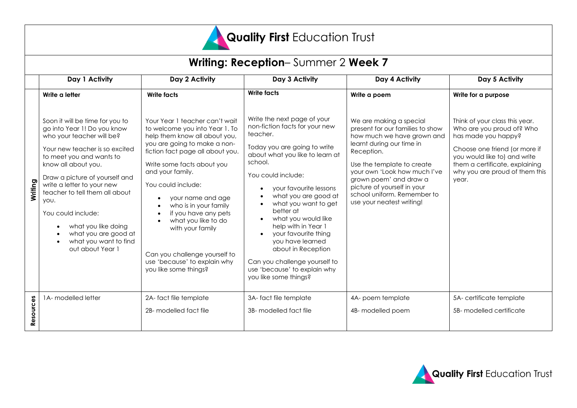

| <b>Writing: Reception-Summer 2 Week 7</b> |                                                                                                                                                                                                                                                                                                                                                                                                              |                                                                                                                                                                                                                                                                                                                                                                                                                                                          |                                                                                                                                                                                                                                                                                                                                                                                                                                                                                             |                                                                                                                                                                                                                                                                                                                         |                                                                                                                                                                                                                                  |  |  |  |  |
|-------------------------------------------|--------------------------------------------------------------------------------------------------------------------------------------------------------------------------------------------------------------------------------------------------------------------------------------------------------------------------------------------------------------------------------------------------------------|----------------------------------------------------------------------------------------------------------------------------------------------------------------------------------------------------------------------------------------------------------------------------------------------------------------------------------------------------------------------------------------------------------------------------------------------------------|---------------------------------------------------------------------------------------------------------------------------------------------------------------------------------------------------------------------------------------------------------------------------------------------------------------------------------------------------------------------------------------------------------------------------------------------------------------------------------------------|-------------------------------------------------------------------------------------------------------------------------------------------------------------------------------------------------------------------------------------------------------------------------------------------------------------------------|----------------------------------------------------------------------------------------------------------------------------------------------------------------------------------------------------------------------------------|--|--|--|--|
|                                           | Day 1 Activity                                                                                                                                                                                                                                                                                                                                                                                               | Day 2 Activity                                                                                                                                                                                                                                                                                                                                                                                                                                           | Day 3 Activity                                                                                                                                                                                                                                                                                                                                                                                                                                                                              | Day 4 Activity                                                                                                                                                                                                                                                                                                          | Day 5 Activity                                                                                                                                                                                                                   |  |  |  |  |
|                                           | Write a letter                                                                                                                                                                                                                                                                                                                                                                                               | <b>Write facts</b>                                                                                                                                                                                                                                                                                                                                                                                                                                       | <b>Write facts</b>                                                                                                                                                                                                                                                                                                                                                                                                                                                                          | Write a poem                                                                                                                                                                                                                                                                                                            | Write for a purpose                                                                                                                                                                                                              |  |  |  |  |
| Writing                                   | Soon it will be time for you to<br>go into Year 1! Do you know<br>who your teacher will be?<br>Your new teacher is so excited<br>to meet you and wants to<br>know all about you.<br>Draw a picture of yourself and<br>write a letter to your new<br>teacher to tell them all about<br>you.<br>You could include:<br>what you like doing<br>what you are good at<br>what you want to find<br>out about Year 1 | Your Year 1 teacher can't wait<br>to welcome you into Year 1. To<br>help them know all about you,<br>you are going to make a non-<br>fiction fact page all about you.<br>Write some facts about you<br>and your family.<br>You could include:<br>your name and age<br>who is in your family<br>if you have any pets<br>what you like to do<br>with your family<br>Can you challenge yourself to<br>use 'because' to explain why<br>you like some things? | Write the next page of your<br>non-fiction facts for your new<br>teacher.<br>Today you are going to write<br>about what you like to learn at<br>school.<br>You could include:<br>your favourite lessons<br>$\bullet$<br>what you are good at<br>what you want to get<br>better at<br>what you would like<br>help with in Year 1<br>your favourite thing<br>you have learned<br>about in Reception<br>Can you challenge yourself to<br>use 'because' to explain why<br>you like some things? | We are making a special<br>present for our families to show<br>how much we have grown and<br>learnt during our time in<br>Reception.<br>Use the template to create<br>your own 'Look how much I've<br>grown poem' and draw a<br>picture of yourself in your<br>school uniform. Remember to<br>use your neatest writing! | Think of your class this year.<br>Who are you proud of? Who<br>has made you happy?<br>Choose one friend (or more if<br>you would like to) and write<br>them a certificate, explaining<br>why you are proud of them this<br>year. |  |  |  |  |
| Resources                                 | 1A- modelled letter                                                                                                                                                                                                                                                                                                                                                                                          | 2A-fact file template<br>2B- modelled fact file                                                                                                                                                                                                                                                                                                                                                                                                          | 3A-fact file template<br>3B- modelled fact file                                                                                                                                                                                                                                                                                                                                                                                                                                             | 4A- poem template<br>4B- modelled poem                                                                                                                                                                                                                                                                                  | 5A-certificate template<br>5B- modelled certificate                                                                                                                                                                              |  |  |  |  |
|                                           |                                                                                                                                                                                                                                                                                                                                                                                                              |                                                                                                                                                                                                                                                                                                                                                                                                                                                          |                                                                                                                                                                                                                                                                                                                                                                                                                                                                                             |                                                                                                                                                                                                                                                                                                                         |                                                                                                                                                                                                                                  |  |  |  |  |

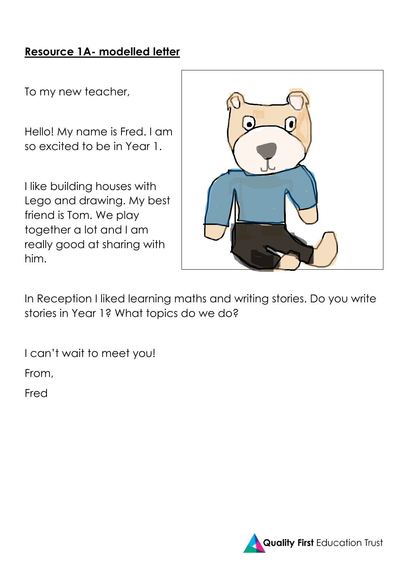## **Resource 1A- modelled letter**

To my new teacher,

Hello! My name is Fred. I am so excited to be in Year 1.

I like building houses with Lego and drawing. My best friend is Tom. We play together a lot and I am really good at sharing with him.



In Reception I liked learning maths and writing stories. Do you write stories in Year 1? What topics do we do?

I can't wait to meet you!

From,

Fred

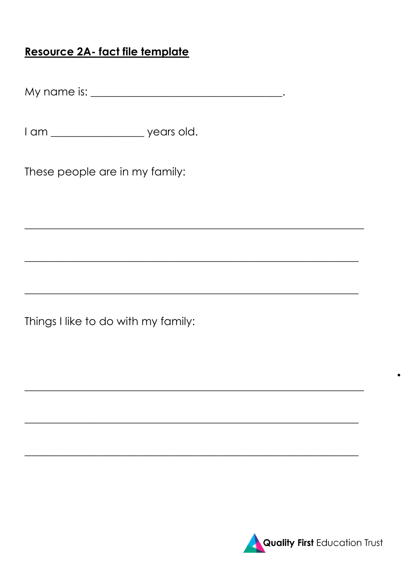## Resource 2A- fact file template

I am \_\_\_\_\_\_\_\_\_\_\_\_\_\_\_\_\_\_\_\_\_ years old.

These people are in my family:

Things I like to do with my family:

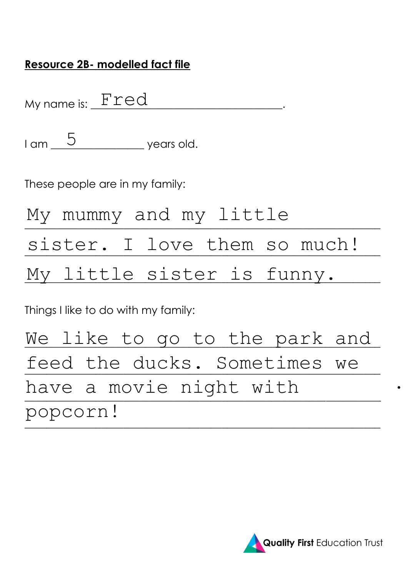### **Resource 2B- modelled fact file**

My name is:  $\underline{~\text{Fred}}$  .

 $I$  am  $\begin{array}{@{}c@{\quad}l} \overline{5} & \overline{ } \overline{5} & \overline{ } \overline{5} & \overline{5} \end{array}$  years old.

These people are in my family:

| My mummy and my little       |  |  |  |
|------------------------------|--|--|--|
| sister. I love them so much! |  |  |  |
| My little sister is funny.   |  |  |  |

Things I like to do with my family:

We like to go to the park and feed the ducks. Sometimes we \_\_\_\_\_\_\_\_\_\_\_\_\_\_\_\_\_\_\_\_\_\_\_\_\_\_\_\_\_\_\_\_\_\_\_\_\_\_\_\_\_\_\_\_\_\_\_\_\_\_\_\_\_\_\_\_\_\_\_\_\_\_\_\_\_ \_\_\_\_\_\_\_\_\_\_\_\_\_\_\_\_\_\_\_\_\_\_\_\_\_\_\_\_\_\_\_\_\_\_\_\_\_\_\_\_\_\_\_\_\_\_\_\_\_\_\_\_\_\_\_\_\_\_\_\_\_\_\_\_\_ have a movie night with popcorn!

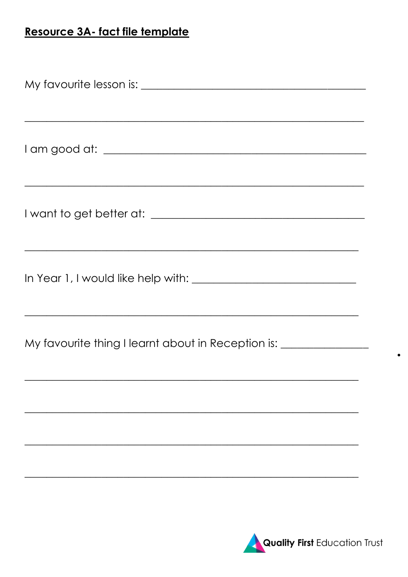# Resource 3A- fact file template

| ,我们也不会有什么。""我们的人,我们也不会有什么?""我们的人,我们也不会有什么?""我们的人,我们也不会有什么?""我们的人,我们也不会有什么?""我们的人 |  |  |  |  |  |
|----------------------------------------------------------------------------------|--|--|--|--|--|
| <u> 1989 - Jan James James Barnett, amerikan bahasa (j. 1989)</u>                |  |  |  |  |  |
| My favourite thing I learnt about in Reception is: _____________________________ |  |  |  |  |  |
|                                                                                  |  |  |  |  |  |
|                                                                                  |  |  |  |  |  |



 $\bullet$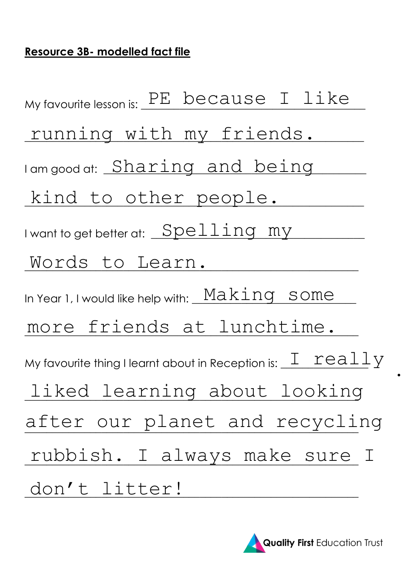## **Resource 3B- modelled fact file**

My favourite lesson is: PE because I like running with my friends. I am good at: Sharing and being kind to other people. I want to get better at:  $\fbox{Spelling my} \$ \_\_\_\_\_\_\_\_\_\_\_\_\_\_\_\_\_\_\_\_\_\_\_\_\_\_\_\_\_\_\_\_\_\_\_\_\_\_\_\_\_\_\_\_\_\_\_\_\_\_\_\_\_\_\_\_\_\_\_\_\_ Words to Learn. In Year 1, I would like help with:  $\frac{_{\mathrm{Makking}}}{_{\mathrm{Makking}}$ \_\_\_\_\_\_\_\_\_\_\_\_\_\_\_\_\_\_\_\_\_\_\_\_\_\_\_\_\_\_\_\_\_\_\_\_\_\_\_\_\_\_\_\_\_\_\_\_\_\_\_\_\_\_\_\_\_\_\_\_\_ more friends at lunchtime. My favourite thing I learnt about in Reception is: \_\_ $\text{\texttt{I}}\_\text{\texttt{real}}\_\text{\texttt{Y}}$ \_\_\_\_\_\_\_\_\_\_\_\_\_\_\_\_\_\_\_\_\_\_\_\_\_\_\_\_\_\_\_\_\_\_\_\_\_\_\_\_\_\_\_\_\_\_\_\_\_\_\_\_\_\_\_\_\_\_\_\_\_ liked learning about looking after our planet and recycling rubbish. I always make sure I \_\_\_\_\_\_\_\_\_\_\_\_\_\_\_\_\_\_\_\_\_\_\_\_\_\_\_\_\_\_\_\_\_\_\_\_\_\_\_\_\_\_\_\_\_\_\_\_\_\_\_\_\_\_\_\_\_\_\_\_\_ don't litter!

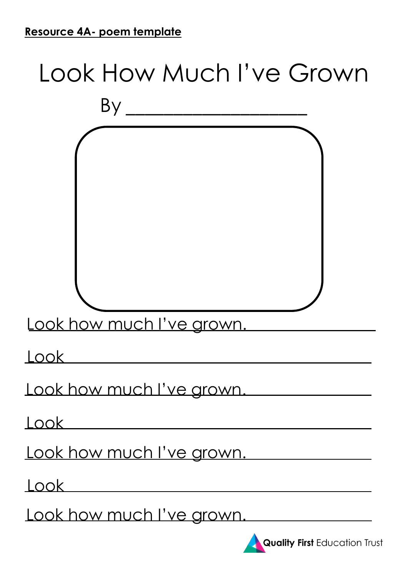# Look How Much I've Grown By \_\_\_\_\_\_\_\_\_\_\_\_\_\_\_\_\_\_\_ Look how much I've grown. Look how much I've grown. Look how much I've grown. Look Look

Look

Look how much I've grown.



**Quality First** Education Trust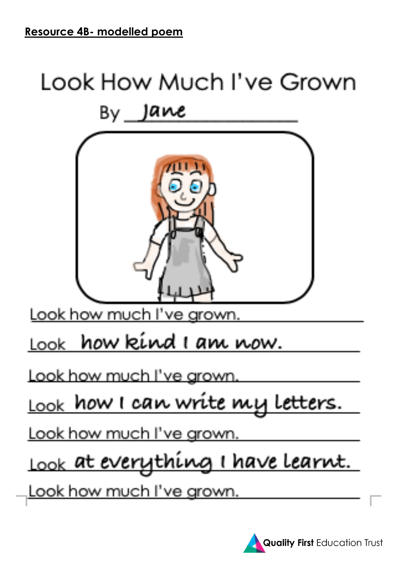

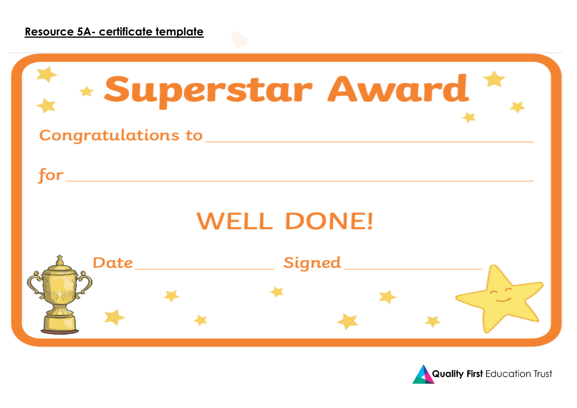